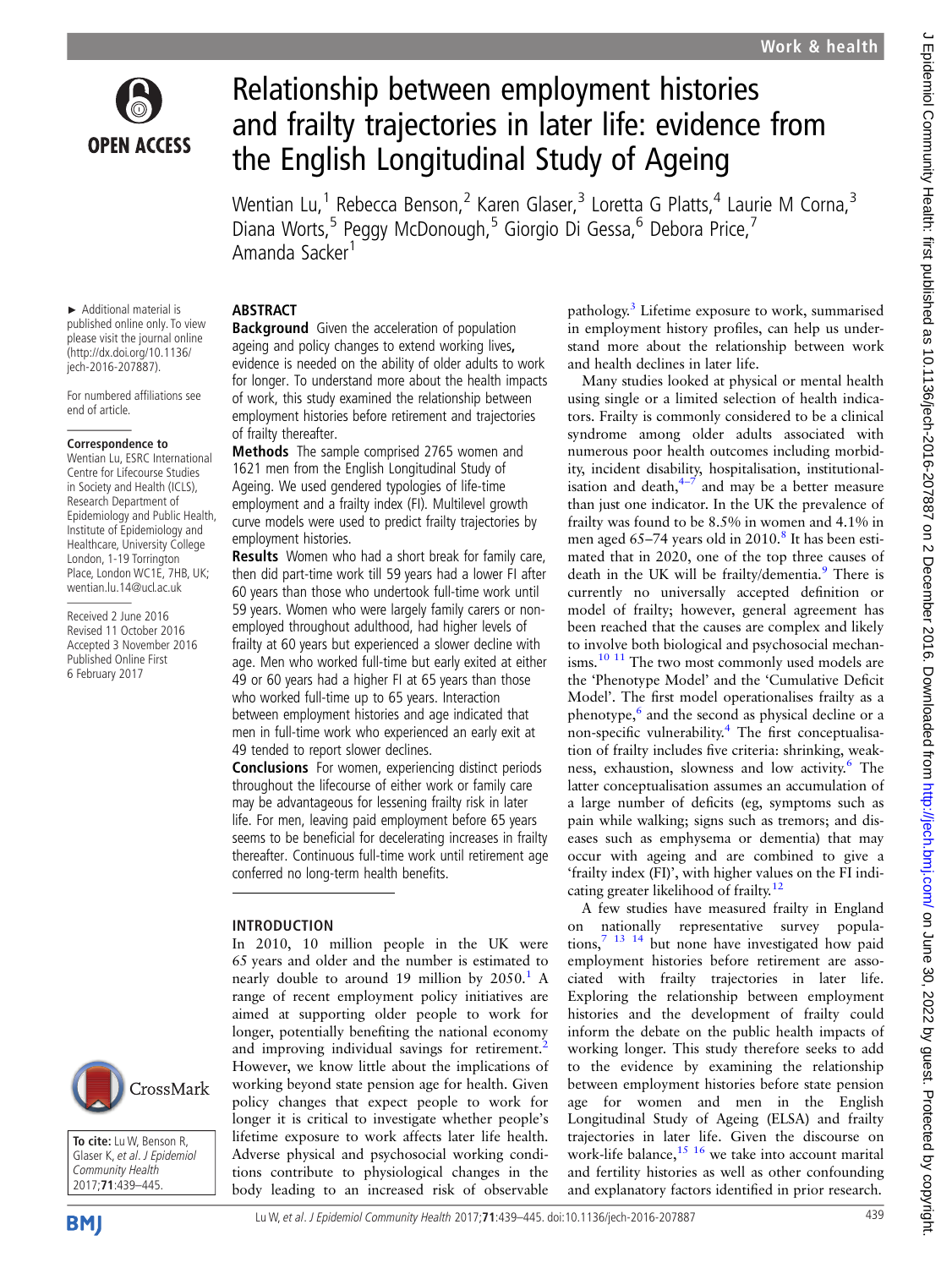

# Relationship between employment histories and frailty trajectories in later life: evidence from the English Longitudinal Study of Ageing

Wentian Lu,<sup>1</sup> Rebecca Benson,<sup>2</sup> Karen Glaser,<sup>3</sup> Loretta G Platts,<sup>4</sup> Laurie M Corna,<sup>3</sup> Diana Worts,<sup>5</sup> Peggy McDonough,<sup>5</sup> Giorgio Di Gessa,<sup>6</sup> Debora Price,<sup>7</sup> Amanda Sacker<sup>1</sup>

#### ► Additional material is published online only. To view please visit the journal online (http://dx.doi.org/10.1136/ jech-2016-207887).

ABSTRACT

For numbered affiliations see end of article.

#### **Correspondence to**

Wentian Lu, ESRC International Centre for Lifecourse Studies in Society and Health (ICLS), Research Department of Epidemiology and Public Health, Institute of Epidemiology and Healthcare, University College London, 1-19 Torrington Place, London WC1E, 7HB, UK; wentian.lu.14@ucl.ac.uk

Received 2 June 2016 Revised 11 October 2016 Accepted 3 November 2016 Published Online First 6 February 2017





### Lu W, et al. J Epidemiol Community Health 2017;**71**:439–445. doi:10.1136/jech-2016-207887 439

**Background** Given the acceleration of population ageing and policy changes to extend working lives, evidence is needed on the ability of older adults to work for longer. To understand more about the health impacts of work, this study examined the relationship between employment histories before retirement and trajectories of frailty thereafter.

Methods The sample comprised 2765 women and 1621 men from the English Longitudinal Study of Ageing. We used gendered typologies of life-time employment and a frailty index (FI). Multilevel growth curve models were used to predict frailty trajectories by employment histories.

Results Women who had a short break for family care, then did part-time work till 59 years had a lower FI after 60 years than those who undertook full-time work until 59 years. Women who were largely family carers or nonemployed throughout adulthood, had higher levels of frailty at 60 years but experienced a slower decline with age. Men who worked full-time but early exited at either 49 or 60 years had a higher FI at 65 years than those who worked full-time up to 65 years. Interaction between employment histories and age indicated that men in full-time work who experienced an early exit at 49 tended to report slower declines.

Conclusions For women, experiencing distinct periods throughout the lifecourse of either work or family care may be advantageous for lessening frailty risk in later life. For men, leaving paid employment before 65 years seems to be beneficial for decelerating increases in frailty thereafter. Continuous full-time work until retirement age conferred no long-term health benefits.

## INTRODUCTION

In 2010, 10 million people in the UK were 65 years and older and the number is estimated to nearly double to around 19 million by  $2050<sup>1</sup>$  A range of recent employment policy initiatives are aimed at supporting older people to work for longer, potentially benefiting the national economy and improving individual savings for retirement.<sup>[2](#page-6-0)</sup> However, we know little about the implications of working beyond state pension age for health. Given policy changes that expect people to work for longer it is critical to investigate whether people's lifetime exposure to work affects later life health. Adverse physical and psychosocial working conditions contribute to physiological changes in the body leading to an increased risk of observable

pathology.<sup>3</sup> Lifetime exposure to work, summarised in employment history profiles, can help us understand more about the relationship between work and health declines in later life.

Many studies looked at physical or mental health using single or a limited selection of health indicators. Frailty is commonly considered to be a clinical syndrome among older adults associated with numerous poor health outcomes including morbidity, incident disability, hospitalisation, institutionalisation and death, $4\frac{1}{2}$  and may be a better measure than just one indicator. In the UK the prevalence of frailty was found to be 8.5% in women and 4.1% in men aged  $65-74$  years old in  $2010$ .<sup>[8](#page-6-0)</sup> It has been estimated that in 2020, one of the top three causes of death in the UK will be frailty/dementia.<sup>[9](#page-6-0)</sup> There is currently no universally accepted definition or model of frailty; however, general agreement has been reached that the causes are complex and likely to involve both biological and psychosocial mechan-isms.<sup>[10 11](#page-6-0)</sup> The two most commonly used models are the 'Phenotype Model' and the 'Cumulative Deficit Model'. The first model operationalises frailty as a phenotype, $6$  and the second as physical decline or a non-specific vulnerability.[4](#page-6-0) The first conceptualisation of frailty includes five criteria: shrinking, weak-ness, exhaustion, slowness and low activity.<sup>[6](#page-6-0)</sup> The latter conceptualisation assumes an accumulation of a large number of deficits (eg, symptoms such as pain while walking; signs such as tremors; and diseases such as emphysema or dementia) that may occur with ageing and are combined to give a 'frailty index (FI)', with higher values on the FI indi-cating greater likelihood of frailty.<sup>[12](#page-6-0)</sup>

A few studies have measured frailty in England on nationally representative survey populations, $7^{13}$   $14$  but none have investigated how paid employment histories before retirement are associated with frailty trajectories in later life. Exploring the relationship between employment histories and the development of frailty could inform the debate on the public health impacts of working longer. This study therefore seeks to add to the evidence by examining the relationship between employment histories before state pension age for women and men in the English Longitudinal Study of Ageing (ELSA) and frailty trajectories in later life. Given the discourse on work-life balance,  $15 \frac{16}{16}$  we take into account marital and fertility histories as well as other confounding and explanatory factors identified in prior research.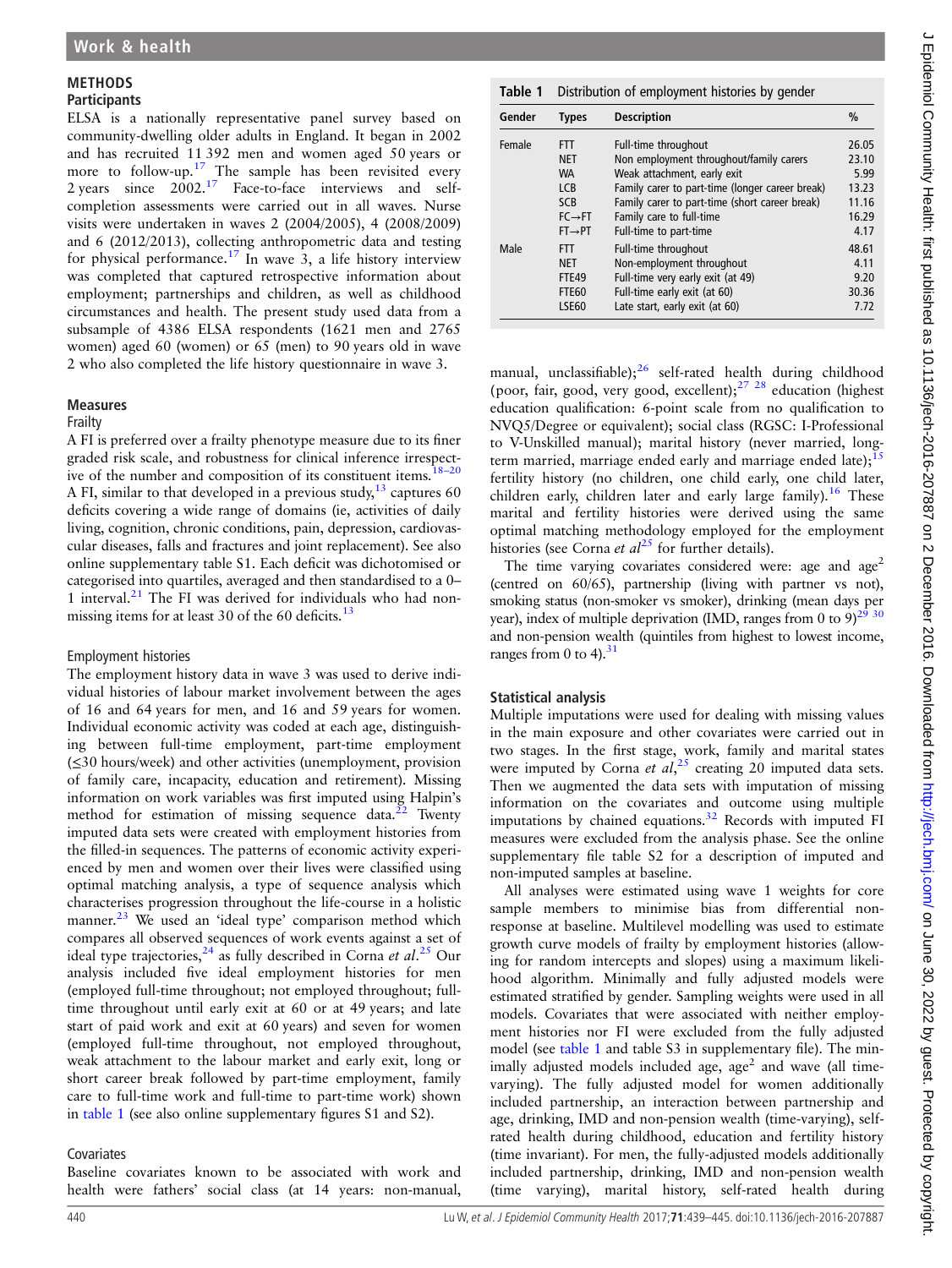#### <span id="page-1-0"></span>METHODS Participants

ELSA is a nationally representative panel survey based on community-dwelling older adults in England. It began in 2002 and has recruited 11 392 men and women aged 50 years or more to follow-up.[17](#page-6-0) The sample has been revisited every 2 years since 2002.[17](#page-6-0) Face-to-face interviews and selfcompletion assessments were carried out in all waves. Nurse visits were undertaken in waves 2 (2004/2005), 4 (2008/2009) and 6 (2012/2013), collecting anthropometric data and testing for physical performance.<sup>[17](#page-6-0)</sup> In wave 3, a life history interview was completed that captured retrospective information about employment; partnerships and children, as well as childhood circumstances and health. The present study used data from a subsample of 4386 ELSA respondents (1621 men and 2765 women) aged 60 (women) or 65 (men) to 90 years old in wave 2 who also completed the life history questionnaire in wave 3.

#### Measures

#### Frailty

A FI is preferred over a frailty phenotype measure due to its finer graded risk scale, and robustness for clinical inference irrespective of the number and composition of its constituent items.[18](#page-6-0)–<sup>20</sup> A FI, similar to that developed in a previous study,  $13$  captures 60 deficits covering a wide range of domains (ie, activities of daily living, cognition, chronic conditions, pain, depression, cardiovascular diseases, falls and fractures and joint replacement). See also online supplementary [table S1.](http://dx.doi.org/10.1136/jech-2016-207887) Each deficit was dichotomised or categorised into quartiles, averaged and then standardised to a 0– 1 interval. $^{21}$  $^{21}$  $^{21}$  The FI was derived for individuals who had non-missing items for at least 30 of the 60 deficits.<sup>[13](#page-6-0)</sup>

## Employment histories

The employment history data in wave 3 was used to derive individual histories of labour market involvement between the ages of 16 and 64 years for men, and 16 and 59 years for women. Individual economic activity was coded at each age, distinguishing between full-time employment, part-time employment (≤30 hours/week) and other activities (unemployment, provision of family care, incapacity, education and retirement). Missing information on work variables was first imputed using Halpin's method for estimation of missing sequence data. $^{22}$  $^{22}$  $^{22}$  Twenty imputed data sets were created with employment histories from the filled-in sequences. The patterns of economic activity experienced by men and women over their lives were classified using optimal matching analysis, a type of sequence analysis which characterises progression throughout the life-course in a holistic manner.<sup>[23](#page-6-0)</sup> We used an 'ideal type' comparison method which compares all observed sequences of work events against a set of ideal type trajectories,<sup>[24](#page-6-0)</sup> as fully described in Corna et al.<sup>[25](#page-6-0)</sup> Our analysis included five ideal employment histories for men (employed full-time throughout; not employed throughout; fulltime throughout until early exit at 60 or at 49 years; and late start of paid work and exit at 60 years) and seven for women (employed full-time throughout, not employed throughout, weak attachment to the labour market and early exit, long or short career break followed by part-time employment, family care to full-time work and full-time to part-time work) shown in table 1 (see also online supplementary figures S1 and S2).

## Covariates

Baseline covariates known to be associated with work and health were fathers' social class (at 14 years: non-manual,

manual, unclassifiable); $^{26}$  $^{26}$  $^{26}$  self-rated health during childhood (poor, fair, good, very good, excellent); $27 \frac{28}{3}$  education (highest) education qualification: 6-point scale from no qualification to NVQ5/Degree or equivalent); social class (RGSC: I-Professional to V-Unskilled manual); marital history (never married, longterm married, marriage ended early and marriage ended late); $\frac{1}{5}$ fertility history (no children, one child early, one child later, children early, children later and early large family).<sup>[16](#page-6-0)</sup> These marital and fertility histories were derived using the same optimal matching methodology employed for the employment histories (see Corna et  $al^{25}$  $al^{25}$  $al^{25}$  for further details). The time varying covariates considered were: age and  $age<sup>2</sup>$ (centred on 60/65), partnership (living with partner vs not), smoking status (non-smoker vs smoker), drinking (mean days per year), index of multiple deprivation (IMD, ranges from 0 to 9)<sup>29</sup> 30 and non-pension wealth (quintiles from highest to lowest income, ranges from 0 to 4). $31$ Statistical analysis Multiple imputations were used for dealing with missing values in the main exposure and other covariates were carried out in two stages. In the first stage, work, family and marital states were imputed by Corna et  $al$ ,<sup>[25](#page-6-0)</sup> creating 20 imputed data sets. Then we augmented the data sets with imputation of missing information on the covariates and outcome using multiple imputations by chained equations.[32](#page-6-0) Records with imputed FI measures were excluded from the analysis phase. See the online [supplementary](http://dx.doi.org/10.1136/jech-2016-207887) file table S2 for a description of imputed and non-imputed samples at baseline. Female FTT Full-time throughout<br>NET Non employment throughout/family carers 23.10 Non employment throughout/family carers WA Weak attachment, early exit 5.99 LCB Family carer to part-time (longer career break) 13.23  $SCB$  Family carer to part-time (short career break) 11.16<br> $FC \rightarrow FT$  Family care to full-time  $FC \rightarrow FT$  Family care to full-time 16.29<br> $FT \rightarrow PT$  Full-time to part-time 16.29 Full-time to part-time 4.17 Male FTT Full-time throughout 6 and 48.61 NET Non-employment throughout 4.11 FTE49 Full-time very early exit (at 49) 9.20 FTE60 Full-time early exit (at 60) 30.36 LSE60 Late start, early exit (at 60) 7.72

Table 1 Distribution of employment histories by gender

Gender Types Description  $\%$ 

All analyses were estimated using wave 1 weights for core sample members to minimise bias from differential nonresponse at baseline. Multilevel modelling was used to estimate growth curve models of frailty by employment histories (allowing for random intercepts and slopes) using a maximum likelihood algorithm. Minimally and fully adjusted models were estimated stratified by gender. Sampling weights were used in all models. Covariates that were associated with neither employment histories nor FI were excluded from the fully adjusted model (see table 1 and [table S3 in supplementary](http://dx.doi.org/10.1136/jech-2016-207887) file). The minimally adjusted models included age, age<sup>2</sup> and wave (all timevarying). The fully adjusted model for women additionally included partnership, an interaction between partnership and age, drinking, IMD and non-pension wealth (time-varying), selfrated health during childhood, education and fertility history (time invariant). For men, the fully-adjusted models additionally included partnership, drinking, IMD and non-pension wealth (time varying), marital history, self-rated health during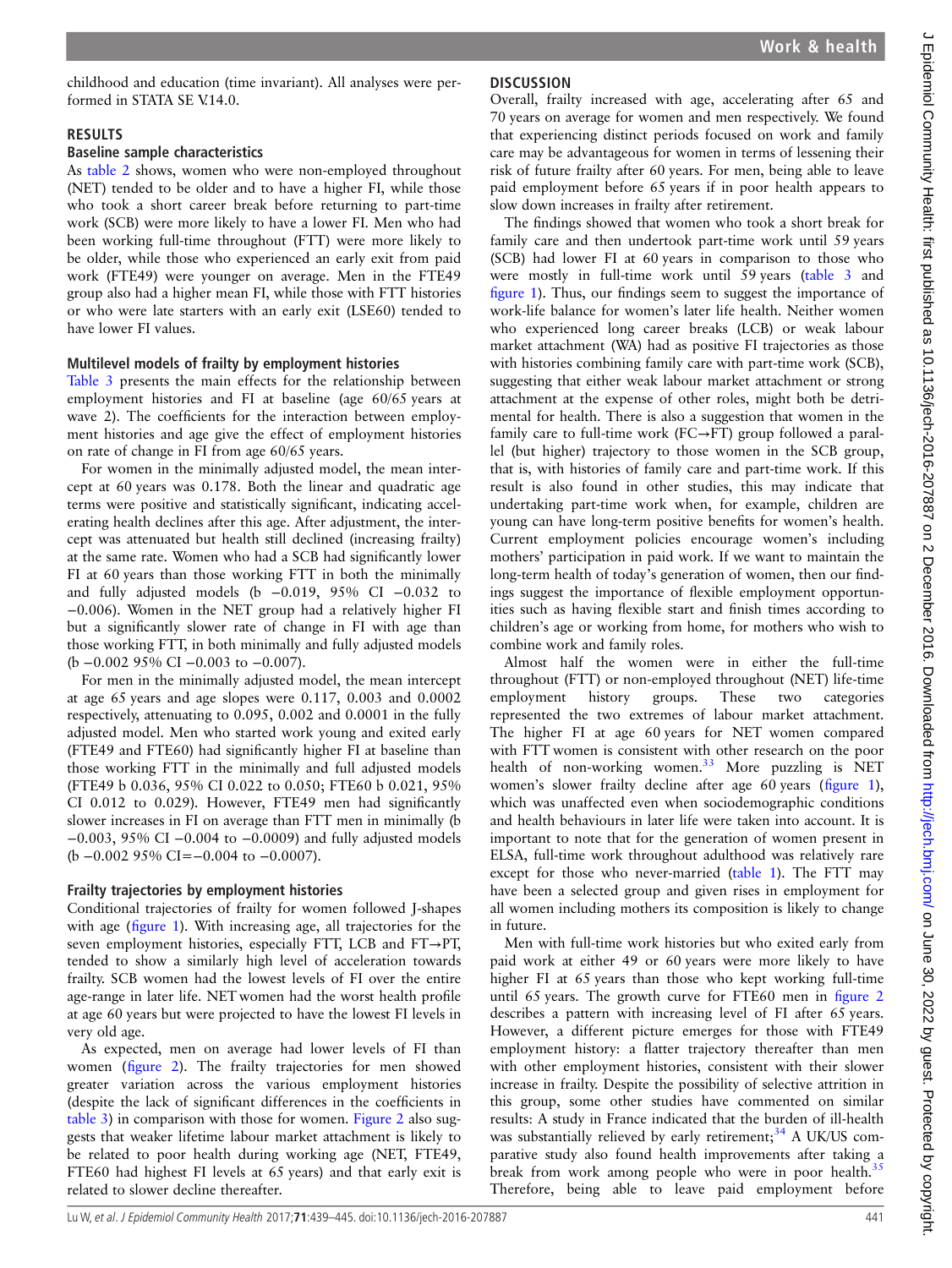childhood and education (time invariant). All analyses were performed in STATA SE V.14.0.

## RESULTS

#### Baseline sample characteristics

As [table 2](#page-3-0) shows, women who were non-employed throughout (NET) tended to be older and to have a higher FI, while those who took a short career break before returning to part-time work (SCB) were more likely to have a lower FI. Men who had been working full-time throughout (FTT) were more likely to be older, while those who experienced an early exit from paid work (FTE49) were younger on average. Men in the FTE49 group also had a higher mean FI, while those with FTT histories or who were late starters with an early exit (LSE60) tended to have lower FI values.

## Multilevel models of frailty by employment histories

[Table 3](#page-4-0) presents the main effects for the relationship between employment histories and FI at baseline (age 60/65 years at wave 2). The coefficients for the interaction between employment histories and age give the effect of employment histories on rate of change in FI from age 60/65 years.

For women in the minimally adjusted model, the mean intercept at 60 years was 0.178. Both the linear and quadratic age terms were positive and statistically significant, indicating accelerating health declines after this age. After adjustment, the intercept was attenuated but health still declined (increasing frailty) at the same rate. Women who had a SCB had significantly lower FI at 60 years than those working FTT in both the minimally and fully adjusted models (b −0.019, 95% CI −0.032 to −0.006). Women in the NET group had a relatively higher FI but a significantly slower rate of change in FI with age than those working FTT, in both minimally and fully adjusted models (b −0.002 95% CI −0.003 to −0.007).

For men in the minimally adjusted model, the mean intercept at age 65 years and age slopes were 0.117, 0.003 and 0.0002 respectively, attenuating to 0.095, 0.002 and 0.0001 in the fully adjusted model. Men who started work young and exited early (FTE49 and FTE60) had significantly higher FI at baseline than those working FTT in the minimally and full adjusted models (FTE49 b 0.036, 95% CI 0.022 to 0.050; FTE60 b 0.021, 95% CI 0.012 to 0.029). However, FTE49 men had significantly slower increases in FI on average than FTT men in minimally (b −0.003, 95% CI −0.004 to −0.0009) and fully adjusted models (b −0.002 95% CI=−0.004 to −0.0007).

## Frailty trajectories by employment histories

Conditional trajectories of frailty for women followed J-shapes with age (fi[gure 1\)](#page-5-0). With increasing age, all trajectories for the seven employment histories, especially FTT, LCB and FT→PT, tended to show a similarly high level of acceleration towards frailty. SCB women had the lowest levels of FI over the entire age-range in later life. NET women had the worst health profile at age 60 years but were projected to have the lowest FI levels in very old age.

As expected, men on average had lower levels of FI than women (fi[gure 2](#page-5-0)). The frailty trajectories for men showed greater variation across the various employment histories (despite the lack of significant differences in the coefficients in [table 3\)](#page-4-0) in comparison with those for women. [Figure 2](#page-5-0) also suggests that weaker lifetime labour market attachment is likely to be related to poor health during working age (NET, FTE49, FTE60 had highest FI levels at 65 years) and that early exit is related to slower decline thereafter.

## **DISCUSSION**

Overall, frailty increased with age, accelerating after 65 and 70 years on average for women and men respectively. We found that experiencing distinct periods focused on work and family care may be advantageous for women in terms of lessening their risk of future frailty after 60 years. For men, being able to leave paid employment before 65 years if in poor health appears to slow down increases in frailty after retirement.

The findings showed that women who took a short break for family care and then undertook part-time work until 59 years (SCB) had lower FI at 60 years in comparison to those who were mostly in full-time work until 59 years ([table 3](#page-4-0) and fi[gure 1\)](#page-5-0). Thus, our findings seem to suggest the importance of work-life balance for women's later life health. Neither women who experienced long career breaks (LCB) or weak labour market attachment (WA) had as positive FI trajectories as those with histories combining family care with part-time work (SCB), suggesting that either weak labour market attachment or strong attachment at the expense of other roles, might both be detrimental for health. There is also a suggestion that women in the family care to full-time work ( $FC \rightarrow FT$ ) group followed a parallel (but higher) trajectory to those women in the SCB group, that is, with histories of family care and part-time work. If this result is also found in other studies, this may indicate that undertaking part-time work when, for example, children are young can have long-term positive benefits for women's health. Current employment policies encourage women's including mothers' participation in paid work. If we want to maintain the long-term health of today's generation of women, then our findings suggest the importance of flexible employment opportunities such as having flexible start and finish times according to children's age or working from home, for mothers who wish to combine work and family roles.

Almost half the women were in either the full-time throughout (FTT) or non-employed throughout (NET) life-time employment history groups. These two categories represented the two extremes of labour market attachment. The higher FI at age 60 years for NET women compared with FTT women is consistent with other research on the poor health of non-working women.<sup>[33](#page-6-0)</sup> More puzzling is NET women's slower frailty decline after age 60 years (fi[gure 1\)](#page-5-0), which was unaffected even when sociodemographic conditions and health behaviours in later life were taken into account. It is important to note that for the generation of women present in ELSA, full-time work throughout adulthood was relatively rare except for those who never-married [\(table 1](#page-1-0)). The FTT may have been a selected group and given rises in employment for all women including mothers its composition is likely to change in future.

Men with full-time work histories but who exited early from paid work at either 49 or 60 years were more likely to have higher FI at 65 years than those who kept working full-time until 65 years. The growth curve for FTE60 men in fi[gure 2](#page-5-0) describes a pattern with increasing level of FI after 65 years. However, a different picture emerges for those with FTE49 employment history: a flatter trajectory thereafter than men with other employment histories, consistent with their slower increase in frailty. Despite the possibility of selective attrition in this group, some other studies have commented on similar results: A study in France indicated that the burden of ill-health was substantially relieved by early retirement; $34$  A UK/US comparative study also found health improvements after taking a break from work among people who were in poor health. $35$ Therefore, being able to leave paid employment before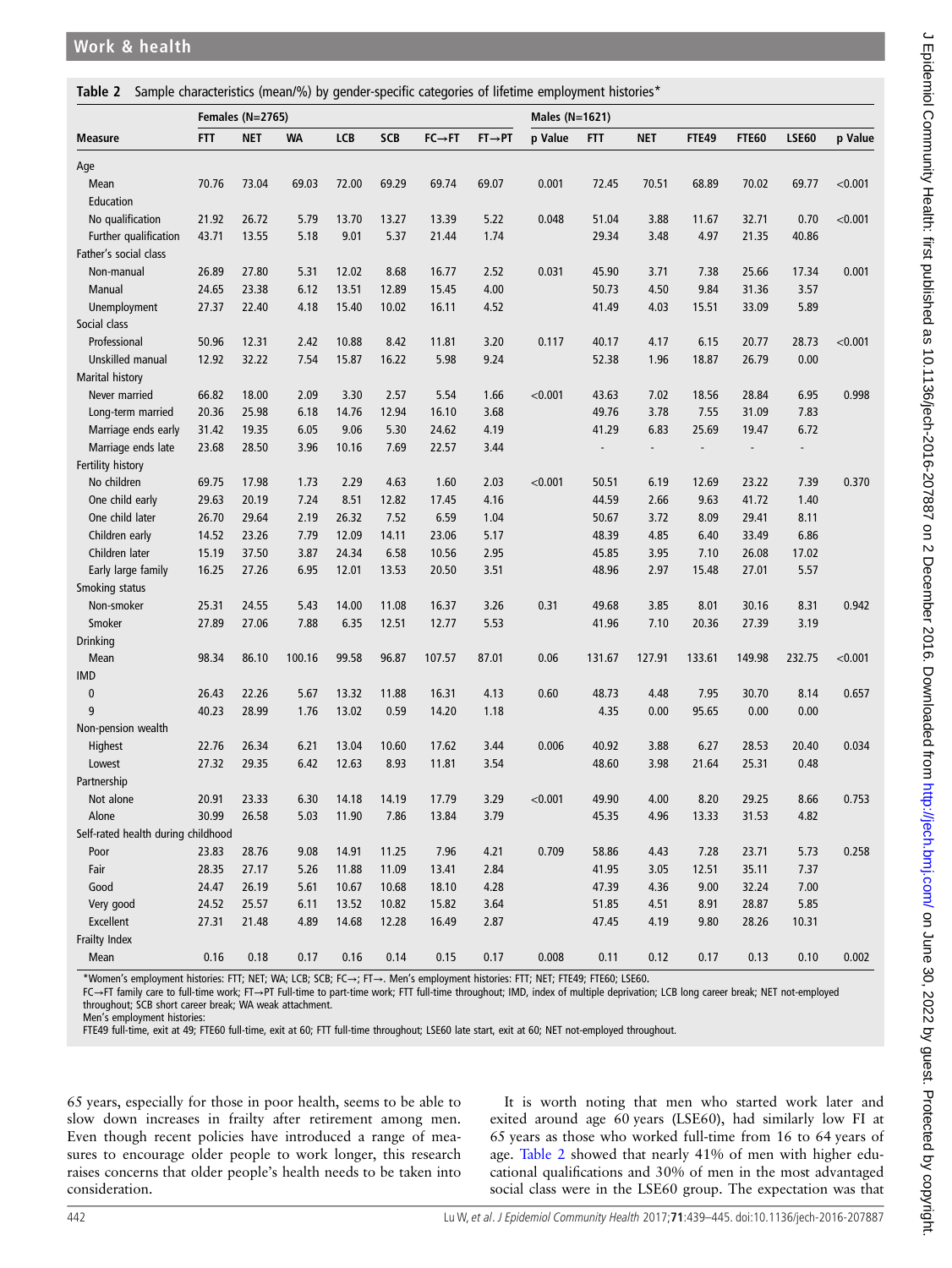<span id="page-3-0"></span>

| Table 2 Sample characteristics (mean/%) by gender-specific categories of lifetime employment histories* |  |  |  |  |  |  |  |
|---------------------------------------------------------------------------------------------------------|--|--|--|--|--|--|--|
|---------------------------------------------------------------------------------------------------------|--|--|--|--|--|--|--|

|                                    | Females (N=2765) |            |           |       |            |                     | Males (N=1621)      |         |        |            |              |              |                |         |
|------------------------------------|------------------|------------|-----------|-------|------------|---------------------|---------------------|---------|--------|------------|--------------|--------------|----------------|---------|
| <b>Measure</b>                     | FTT              | <b>NET</b> | <b>WA</b> | LCB   | <b>SCB</b> | $FC \rightarrow FT$ | $FT \rightarrow PT$ | p Value | FTT    | <b>NET</b> | <b>FTE49</b> | <b>FTE60</b> | <b>LSE60</b>   | p Value |
| Age                                |                  |            |           |       |            |                     |                     |         |        |            |              |              |                |         |
| Mean                               | 70.76            | 73.04      | 69.03     | 72.00 | 69.29      | 69.74               | 69.07               | 0.001   | 72.45  | 70.51      | 68.89        | 70.02        | 69.77          | < 0.001 |
| Education                          |                  |            |           |       |            |                     |                     |         |        |            |              |              |                |         |
| No qualification                   | 21.92            | 26.72      | 5.79      | 13.70 | 13.27      | 13.39               | 5.22                | 0.048   | 51.04  | 3.88       | 11.67        | 32.71        | 0.70           | < 0.001 |
| Further qualification              | 43.71            | 13.55      | 5.18      | 9.01  | 5.37       | 21.44               | 1.74                |         | 29.34  | 3.48       | 4.97         | 21.35        | 40.86          |         |
| Father's social class              |                  |            |           |       |            |                     |                     |         |        |            |              |              |                |         |
| Non-manual                         | 26.89            | 27.80      | 5.31      | 12.02 | 8.68       | 16.77               | 2.52                | 0.031   | 45.90  | 3.71       | 7.38         | 25.66        | 17.34          | 0.001   |
| Manual                             | 24.65            | 23.38      | 6.12      | 13.51 | 12.89      | 15.45               | 4.00                |         | 50.73  | 4.50       | 9.84         | 31.36        | 3.57           |         |
| Unemployment                       | 27.37            | 22.40      | 4.18      | 15.40 | 10.02      | 16.11               | 4.52                |         | 41.49  | 4.03       | 15.51        | 33.09        | 5.89           |         |
| Social class                       |                  |            |           |       |            |                     |                     |         |        |            |              |              |                |         |
| Professional                       | 50.96            | 12.31      | 2.42      | 10.88 | 8.42       | 11.81               | 3.20                | 0.117   | 40.17  | 4.17       | 6.15         | 20.77        | 28.73          | < 0.001 |
| Unskilled manual                   | 12.92            | 32.22      | 7.54      | 15.87 | 16.22      | 5.98                | 9.24                |         | 52.38  | 1.96       | 18.87        | 26.79        | 0.00           |         |
| Marital history                    |                  |            |           |       |            |                     |                     |         |        |            |              |              |                |         |
| Never married                      | 66.82            | 18.00      | 2.09      | 3.30  | 2.57       | 5.54                | 1.66                | < 0.001 | 43.63  | 7.02       | 18.56        | 28.84        | 6.95           | 0.998   |
| Long-term married                  | 20.36            | 25.98      | 6.18      | 14.76 | 12.94      | 16.10               | 3.68                |         | 49.76  | 3.78       | 7.55         | 31.09        | 7.83           |         |
| Marriage ends early                | 31.42            | 19.35      | 6.05      | 9.06  | 5.30       | 24.62               | 4.19                |         | 41.29  | 6.83       | 25.69        | 19.47        | 6.72           |         |
| Marriage ends late                 | 23.68            | 28.50      | 3.96      | 10.16 | 7.69       | 22.57               | 3.44                |         |        |            |              |              | $\overline{a}$ |         |
| Fertility history                  |                  |            |           |       |            |                     |                     |         |        |            |              |              |                |         |
| No children                        | 69.75            | 17.98      | 1.73      | 2.29  | 4.63       | 1.60                | 2.03                | < 0.001 | 50.51  | 6.19       | 12.69        | 23.22        | 7.39           | 0.370   |
| One child early                    | 29.63            | 20.19      | 7.24      | 8.51  | 12.82      | 17.45               | 4.16                |         | 44.59  | 2.66       | 9.63         | 41.72        | 1.40           |         |
| One child later                    | 26.70            | 29.64      | 2.19      | 26.32 | 7.52       | 6.59                | 1.04                |         | 50.67  | 3.72       | 8.09         | 29.41        | 8.11           |         |
| Children early                     | 14.52            | 23.26      | 7.79      | 12.09 | 14.11      | 23.06               | 5.17                |         | 48.39  | 4.85       | 6.40         | 33.49        | 6.86           |         |
| Children later                     | 15.19            | 37.50      | 3.87      | 24.34 | 6.58       | 10.56               | 2.95                |         | 45.85  | 3.95       | 7.10         | 26.08        | 17.02          |         |
| Early large family                 | 16.25            | 27.26      | 6.95      | 12.01 | 13.53      | 20.50               | 3.51                |         | 48.96  | 2.97       | 15.48        | 27.01        | 5.57           |         |
| Smoking status                     |                  |            |           |       |            |                     |                     |         |        |            |              |              |                |         |
| Non-smoker                         | 25.31            | 24.55      | 5.43      | 14.00 | 11.08      | 16.37               | 3.26                | 0.31    | 49.68  | 3.85       | 8.01         | 30.16        | 8.31           | 0.942   |
| Smoker                             | 27.89            | 27.06      | 7.88      | 6.35  | 12.51      | 12.77               | 5.53                |         | 41.96  | 7.10       | 20.36        | 27.39        | 3.19           |         |
| <b>Drinking</b>                    |                  |            |           |       |            |                     |                     |         |        |            |              |              |                |         |
| Mean                               | 98.34            | 86.10      | 100.16    | 99.58 | 96.87      | 107.57              | 87.01               | 0.06    | 131.67 | 127.91     | 133.61       | 149.98       | 232.75         | < 0.001 |
| <b>IMD</b>                         |                  |            |           |       |            |                     |                     |         |        |            |              |              |                |         |
| $\bf{0}$                           | 26.43            | 22.26      | 5.67      | 13.32 | 11.88      | 16.31               | 4.13                | 0.60    | 48.73  | 4.48       | 7.95         | 30.70        | 8.14           | 0.657   |
| 9                                  | 40.23            | 28.99      | 1.76      | 13.02 | 0.59       | 14.20               | 1.18                |         | 4.35   | 0.00       | 95.65        | 0.00         | 0.00           |         |
| Non-pension wealth                 |                  |            |           |       |            |                     |                     |         |        |            |              |              |                |         |
| Highest                            | 22.76            | 26.34      | 6.21      | 13.04 | 10.60      | 17.62               | 3.44                | 0.006   | 40.92  | 3.88       | 6.27         | 28.53        | 20.40          | 0.034   |
| Lowest                             | 27.32            | 29.35      | 6.42      | 12.63 | 8.93       | 11.81               | 3.54                |         | 48.60  | 3.98       | 21.64        | 25.31        | 0.48           |         |
| Partnership                        |                  |            |           |       |            |                     |                     |         |        |            |              |              |                |         |
| Not alone                          | 20.91            | 23.33      | 6.30      | 14.18 | 14.19      | 17.79               | 3.29                | < 0.001 | 49.90  | 4.00       | 8.20         | 29.25        | 8.66           | 0.753   |
| Alone                              | 30.99            | 26.58      | 5.03      | 11.90 | 7.86       | 13.84               | 3.79                |         | 45.35  | 4.96       | 13.33        | 31.53        | 4.82           |         |
| Self-rated health during childhood |                  |            |           |       |            |                     |                     |         |        |            |              |              |                |         |
| Poor                               | 23.83            | 28.76      | 9.08      | 14.91 | 11.25      | 7.96                | 4.21                | 0.709   | 58.86  | 4.43       | 7.28         | 23.71        | 5.73           | 0.258   |
| Fair                               | 28.35            | 27.17      | 5.26      | 11.88 | 11.09      | 13.41               | 2.84                |         | 41.95  | 3.05       | 12.51        | 35.11        | 7.37           |         |
| Good                               | 24.47            | 26.19      | 5.61      | 10.67 | 10.68      | 18.10               | 4.28                |         | 47.39  | 4.36       | 9.00         | 32.24        | 7.00           |         |
| Very good                          | 24.52            | 25.57      | 6.11      | 13.52 | 10.82      | 15.82               | 3.64                |         | 51.85  | 4.51       | 8.91         | 28.87        | 5.85           |         |
| Excellent                          | 27.31            | 21.48      | 4.89      | 14.68 | 12.28      | 16.49               | 2.87                |         | 47.45  | 4.19       | 9.80         | 28.26        | 10.31          |         |
| Frailty Index                      |                  |            |           |       |            |                     |                     |         |        |            |              |              |                |         |
| Mean                               | 0.16             | 0.18       | 0.17      | 0.16  | 0.14       | 0.15                | 0.17                | 0.008   | 0.11   | 0.12       | 0.17         | 0.13         | 0.10           | 0.002   |

\*Women's employment histories: FTT; NET; WA; LCB; SCB; FC→; FT→. Men's employment histories: FTT; NET; FTE49; FTE60; LSE60.

FC→FT family care to full-time work; FT→PT Full-time to part-time work; FTT full-time throughout; IMD, index of multiple deprivation; LCB long career break; NET not-employed throughout; SCB short career break; WA weak attachment.

Men's employment histories:

FTE49 full-time, exit at 49; FTE60 full-time, exit at 60; FTT full-time throughout; LSE60 late start, exit at 60; NET not-employed throughout.

65 years, especially for those in poor health, seems to be able to slow down increases in frailty after retirement among men. Even though recent policies have introduced a range of measures to encourage older people to work longer, this research raises concerns that older people's health needs to be taken into consideration.

It is worth noting that men who started work later and exited around age 60 years (LSE60), had similarly low FI at 65 years as those who worked full-time from 16 to 64 years of age. Table 2 showed that nearly 41% of men with higher educational qualifications and 30% of men in the most advantaged social class were in the LSE60 group. The expectation was that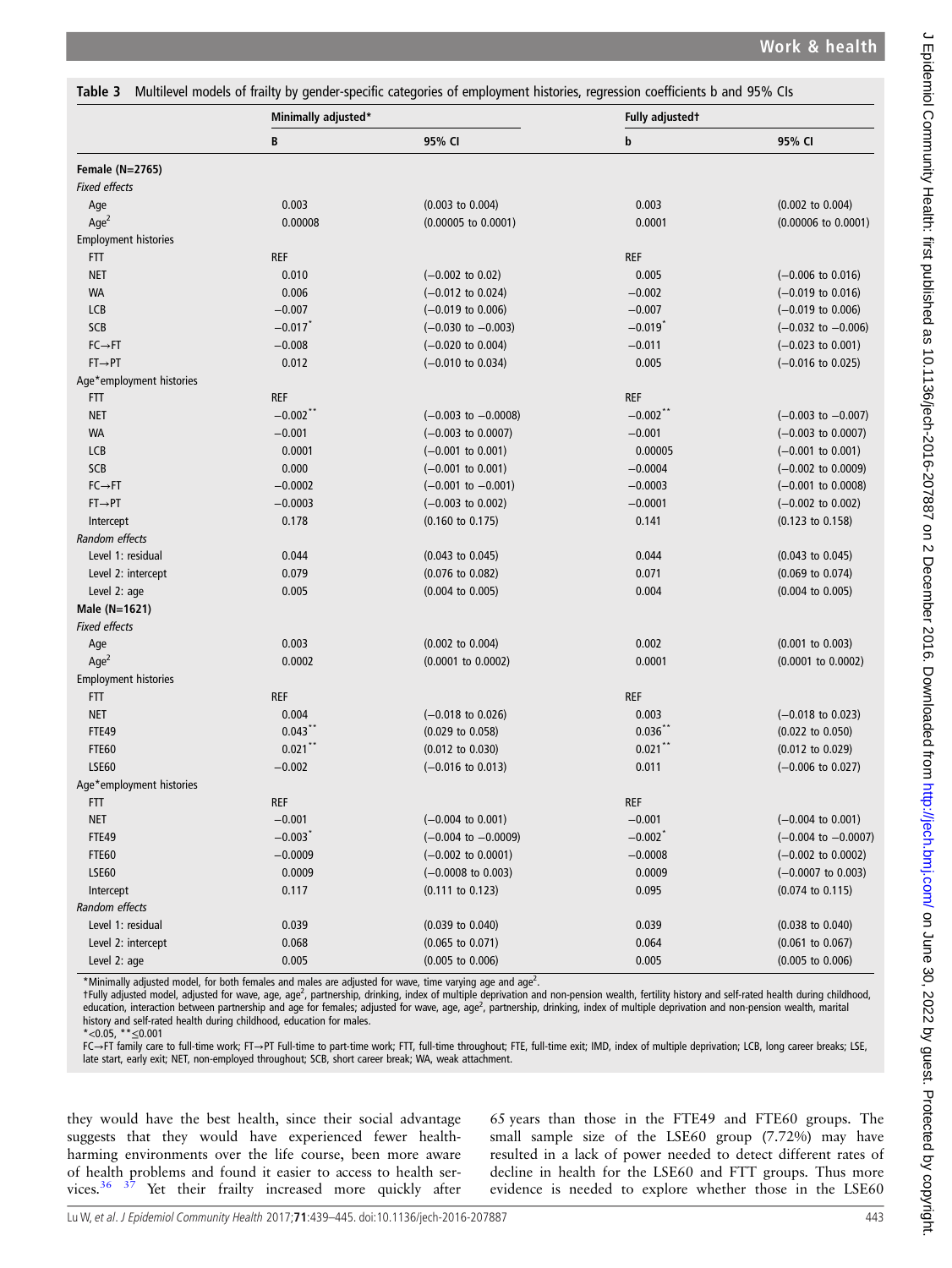<span id="page-4-0"></span>

|                             | Minimally adjusted*   |                                | <b>Fully adjustedt</b> |                                |
|-----------------------------|-----------------------|--------------------------------|------------------------|--------------------------------|
|                             | B                     | 95% CI                         | b                      | 95% CI                         |
| Female (N=2765)             |                       |                                |                        |                                |
| <b>Fixed effects</b>        |                       |                                |                        |                                |
| Age                         | 0.003                 | $(0.003$ to $0.004)$           | 0.003                  | $(0.002 \text{ to } 0.004)$    |
| Age <sup>2</sup>            | 0.00008               | $(0.00005$ to $0.0001)$        | 0.0001                 | $(0.00006 \text{ to } 0.0001)$ |
| <b>Employment histories</b> |                       |                                |                        |                                |
| <b>FTT</b>                  | <b>REF</b>            |                                | REF                    |                                |
| <b>NET</b>                  | 0.010                 | $(-0.002 \text{ to } 0.02)$    | 0.005                  | $(-0.006 \text{ to } 0.016)$   |
| <b>WA</b>                   | 0.006                 | $(-0.012$ to 0.024)            | $-0.002$               | $(-0.019 \text{ to } 0.016)$   |
| <b>LCB</b>                  | $-0.007$              | $(-0.019 \text{ to } 0.006)$   | $-0.007$               | $(-0.019$ to $0.006)$          |
| SCB                         | $-0.017$              | $(-0.030 \text{ to } -0.003)$  | $-0.019$ <sup>*</sup>  | $(-0.032 \text{ to } -0.006)$  |
| $FC \rightarrow FT$         | $-0.008$              | $(-0.020 \text{ to } 0.004)$   | $-0.011$               | $(-0.023$ to $0.001)$          |
| $FT \rightarrow PT$         | 0.012                 | $(-0.010 \text{ to } 0.034)$   | 0.005                  | $(-0.016 \text{ to } 0.025)$   |
| Age*employment histories    |                       |                                |                        |                                |
| <b>FTT</b>                  | <b>REF</b>            |                                | <b>REF</b>             |                                |
| <b>NET</b>                  | $-0.002$ **           | $(-0.003 \text{ to } -0.0008)$ | $-0.002$ **            | $(-0.003$ to $-0.007)$         |
| <b>WA</b>                   | $-0.001$              | $(-0.003$ to $0.0007)$         | $-0.001$               | $(-0.003$ to 0.0007)           |
| <b>LCB</b>                  | 0.0001                | $(-0.001$ to $0.001)$          | 0.00005                | $(-0.001$ to $0.001)$          |
| SCB                         | 0.000                 | $(-0.001$ to $0.001)$          | $-0.0004$              | $(-0.002 \text{ to } 0.0009)$  |
| $FC \rightarrow FT$         | $-0.0002$             | $(-0.001$ to $-0.001)$         | $-0.0003$              | $(-0.001$ to $0.0008)$         |
| $FT \rightarrow PT$         | $-0.0003$             | $(-0.003$ to $0.002)$          | $-0.0001$              | $(-0.002 \text{ to } 0.002)$   |
| Intercept                   | 0.178                 | $(0.160 \text{ to } 0.175)$    | 0.141                  | (0.123 to 0.158)               |
| Random effects              |                       |                                |                        |                                |
| Level 1: residual           | 0.044                 | $(0.043 \text{ to } 0.045)$    | 0.044                  | $(0.043 \text{ to } 0.045)$    |
| Level 2: intercept          | 0.079                 | (0.076 to 0.082)               | 0.071                  | $(0.069 \text{ to } 0.074)$    |
| Level 2: age                | 0.005                 | $(0.004 \text{ to } 0.005)$    | 0.004                  | $(0.004 \text{ to } 0.005)$    |
| Male (N=1621)               |                       |                                |                        |                                |
| <b>Fixed effects</b>        |                       |                                |                        |                                |
| Age                         | 0.003                 | (0.002 to 0.004)               | 0.002                  | $(0.001$ to $0.003)$           |
| Age <sup>2</sup>            | 0.0002                | $(0.0001$ to $0.0002)$         | 0.0001                 | $(0.0001$ to $0.0002)$         |
| <b>Employment histories</b> |                       |                                |                        |                                |
| <b>FTT</b>                  | <b>REF</b>            |                                | REF                    |                                |
| <b>NET</b>                  | 0.004                 | $(-0.018 \text{ to } 0.026)$   | 0.003                  | $(-0.018 \text{ to } 0.023)$   |
| FTE49                       | $0.043$ **            | (0.029 to 0.058)               | $0.036$ **             | $(0.022$ to $0.050)$           |
| FTE60                       | $0.021$ **            | $(0.012 \text{ to } 0.030)$    | $0.021$ **             | $(0.012 \text{ to } 0.029)$    |
| <b>LSE60</b>                | $-0.002$              | $(-0.016 \text{ to } 0.013)$   | 0.011                  | $(-0.006 \text{ to } 0.027)$   |
| Age*employment histories    |                       |                                |                        |                                |
| FTT                         | REF                   |                                | REF                    |                                |
| <b>NET</b>                  | $-0.001$              | $(-0.004 \text{ to } 0.001)$   | $-0.001$               | $(-0.004 \text{ to } 0.001)$   |
| FTE49                       | $-0.003$ <sup>*</sup> | $(-0.004 \text{ to } -0.0009)$ | $-0.002$ <sup>*</sup>  | $(-0.004 \text{ to } -0.0007)$ |
| <b>FTE60</b>                | $-0.0009$             | $(-0.002 \text{ to } 0.0001)$  | $-0.0008$              | $(-0.002 \text{ to } 0.0002)$  |
| <b>LSE60</b>                | 0.0009                | $(-0.0008 \text{ to } 0.003)$  | 0.0009                 | $(-0.0007$ to 0.003)           |
| Intercept                   | 0.117                 | $(0.111$ to $0.123)$           | 0.095                  | $(0.074 \text{ to } 0.115)$    |
| Random effects              |                       |                                |                        |                                |
| Level 1: residual           | 0.039                 | $(0.039$ to $0.040)$           | 0.039                  | $(0.038 \text{ to } 0.040)$    |
| Level 2: intercept          | 0.068                 | $(0.065 \text{ to } 0.071)$    | 0.064                  | $(0.061 \text{ to } 0.067)$    |
| Level 2: age                | 0.005                 | $(0.005$ to $0.006)$           | 0.005                  | $(0.005 \text{ to } 0.006)$    |

\*Minimally adjusted model, for both females and males are adjusted for wave, time varying age and age<sup>2</sup>.<br>†Fully adjusted model, adjusted for wave, age, age<sup>2</sup>, partnership, drinking, index of multiple deprivation and noneducation, interaction between partnership and age for females; adjusted for wave, age, age<sup>2</sup>, partnership, drinking, index of multiple deprivation and non-pension wealth, marital history and self-rated health during childhood, education for males.

\*<0.05, \*\*≤0.001 FC→FT family care to full-time work; FT→PT Full-time to part-time work; FTT, full-time throughout; FTE, full-time exit; IMD, index of multiple deprivation; LCB, long career breaks; LSE, late start, early exit; NET, non-employed throughout; SCB, short career break; WA, weak attachment.

they would have the best health, since their social advantage suggests that they would have experienced fewer healthharming environments over the life course, been more aware of health problems and found it easier to access to health ser-vices.<sup>[36 37](#page-6-0)</sup> Yet their frailty increased more quickly after

65 years than those in the FTE49 and FTE60 groups. The small sample size of the LSE60 group (7.72%) may have resulted in a lack of power needed to detect different rates of decline in health for the LSE60 and FTT groups. Thus more evidence is needed to explore whether those in the LSE60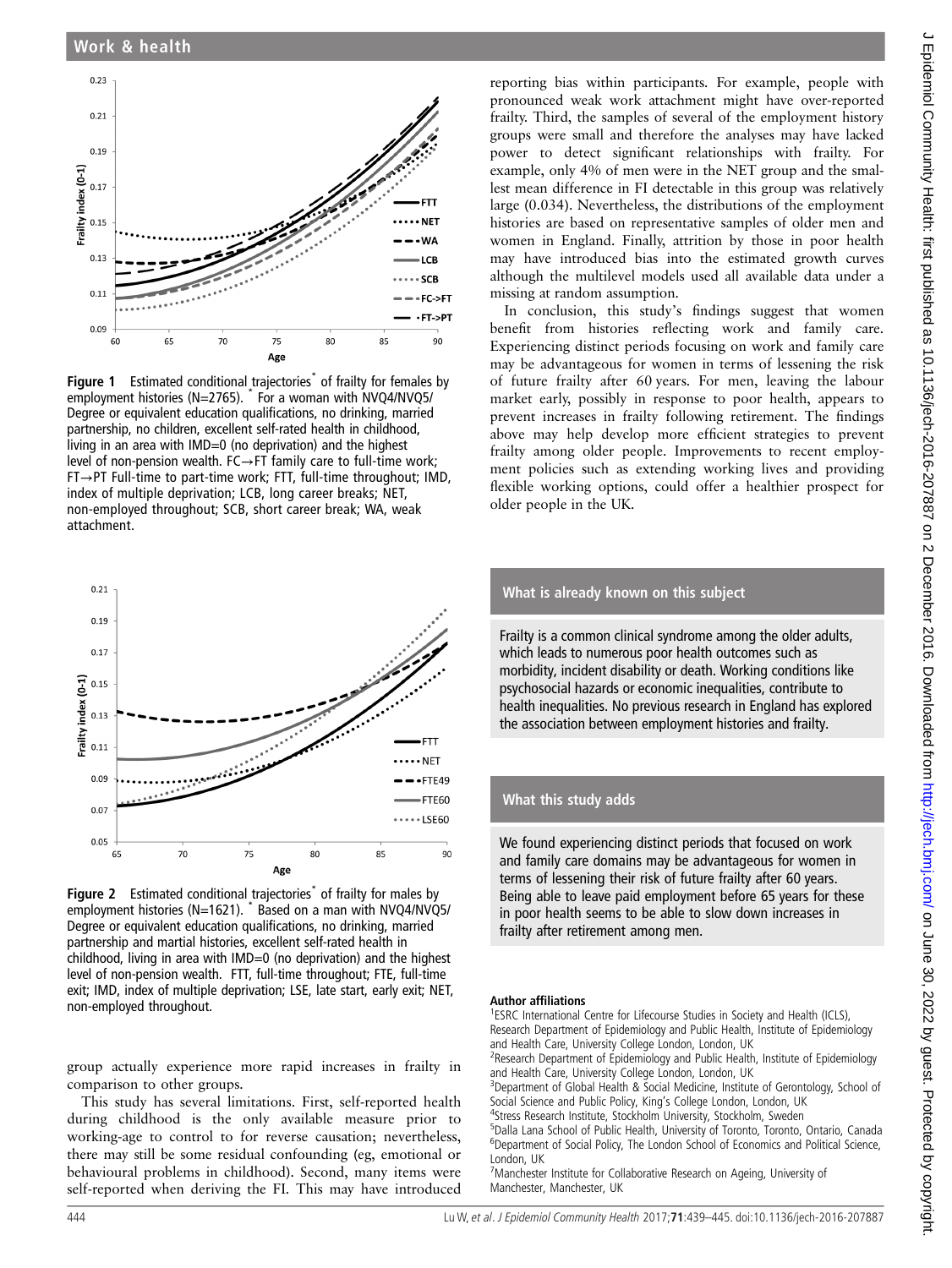<span id="page-5-0"></span>

Figure 1 Estimated conditional trajectories<sup>\*</sup> of frailty for females by employment histories (N=2765). \* For a woman with NVQ4/NVQ5/ Degree or equivalent education qualifications, no drinking, married partnership, no children, excellent self-rated health in childhood, living in an area with IMD=0 (no deprivation) and the highest level of non-pension wealth. FC→FT family care to full-time work; FT→PT Full-time to part-time work; FTT, full-time throughout; IMD, index of multiple deprivation; LCB, long career breaks; NET, non-employed throughout; SCB, short career break; WA, weak attachment.



Figure 2 Estimated conditional trajectories<sup>\*</sup> of frailty for males by employment histories (N=1621). <sup>\*</sup> Based on a man with NVQ4/NVQ5/ Degree or equivalent education qualifications, no drinking, married partnership and martial histories, excellent self-rated health in childhood, living in area with IMD=0 (no deprivation) and the highest level of non-pension wealth. FTT, full-time throughout; FTE, full-time exit; IMD, index of multiple deprivation; LSE, late start, early exit; NET, non-employed throughout.

group actually experience more rapid increases in frailty in comparison to other groups.

This study has several limitations. First, self-reported health during childhood is the only available measure prior to working-age to control to for reverse causation; nevertheless, there may still be some residual confounding (eg, emotional or behavioural problems in childhood). Second, many items were self-reported when deriving the FI. This may have introduced

reporting bias within participants. For example, people with pronounced weak work attachment might have over-reported frailty. Third, the samples of several of the employment history groups were small and therefore the analyses may have lacked power to detect significant relationships with frailty. For example, only 4% of men were in the NET group and the smallest mean difference in FI detectable in this group was relatively large (0.034). Nevertheless, the distributions of the employment histories are based on representative samples of older men and women in England. Finally, attrition by those in poor health may have introduced bias into the estimated growth curves although the multilevel models used all available data under a missing at random assumption.

In conclusion, this study's findings suggest that women benefit from histories reflecting work and family care. Experiencing distinct periods focusing on work and family care may be advantageous for women in terms of lessening the risk of future frailty after 60 years. For men, leaving the labour market early, possibly in response to poor health, appears to prevent increases in frailty following retirement. The findings above may help develop more efficient strategies to prevent frailty among older people. Improvements to recent employment policies such as extending working lives and providing flexible working options, could offer a healthier prospect for older people in the UK.

#### What is already known on this subject

Frailty is a common clinical syndrome among the older adults, which leads to numerous poor health outcomes such as morbidity, incident disability or death. Working conditions like psychosocial hazards or economic inequalities, contribute to health inequalities. No previous research in England has explored the association between employment histories and frailty.

#### What this study adds

We found experiencing distinct periods that focused on work and family care domains may be advantageous for women in terms of lessening their risk of future frailty after 60 years. Being able to leave paid employment before 65 years for these in poor health seems to be able to slow down increases in frailty after retirement among men.

#### Author affiliations <sup>1</sup>

<sup>1</sup>ESRC International Centre for Lifecourse Studies in Society and Health (ICLS), Research Department of Epidemiology and Public Health, Institute of Epidemiology and Health Care, University College London, London, UK

<sup>2</sup>Research Department of Epidemiology and Public Health, Institute of Epidemiology and Health Care, University College London, London, UK

<sup>3</sup>Department of Global Health & Social Medicine, Institute of Gerontology, School of Social Science and Public Policy, King's College London, London, UK <sup>4</sup>

<sup>4</sup>Stress Research Institute, Stockholm University, Stockholm, Sweden

5 Dalla Lana School of Public Health, University of Toronto, Toronto, Ontario, Canada <sup>6</sup>Department of Social Policy, The London School of Economics and Political Science, London, UK

<sup>7</sup>Manchester Institute for Collaborative Research on Ageing, University of Manchester, Manchester, UK